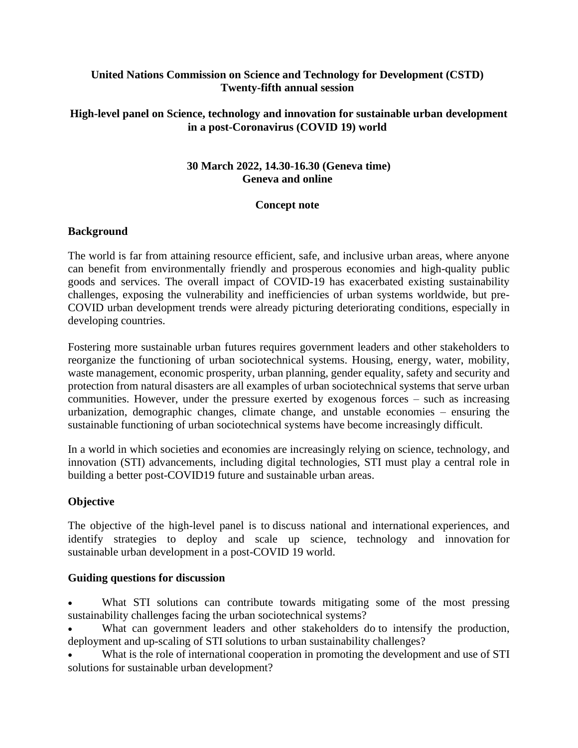## **United Nations Commission on Science and Technology for Development (CSTD) Twenty-fifth annual session**

## **High-level panel on Science, technology and innovation for sustainable urban development in a post-Coronavirus (COVID 19) world**

# **30 March 2022, 14.30-16.30 (Geneva time) Geneva and online**

### **Concept note**

### **Background**

The world is far from attaining resource efficient, safe, and inclusive urban areas, where anyone can benefit from environmentally friendly and prosperous economies and high-quality public goods and services. The overall impact of COVID-19 has exacerbated existing sustainability challenges, exposing the vulnerability and inefficiencies of urban systems worldwide, but pre-COVID urban development trends were already picturing deteriorating conditions, especially in developing countries.

Fostering more sustainable urban futures requires government leaders and other stakeholders to reorganize the functioning of urban sociotechnical systems. Housing, energy, water, mobility, waste management, economic prosperity, urban planning, gender equality, safety and security and protection from natural disasters are all examples of urban sociotechnical systems that serve urban communities. However, under the pressure exerted by exogenous forces – such as increasing urbanization, demographic changes, climate change, and unstable economies – ensuring the sustainable functioning of urban sociotechnical systems have become increasingly difficult.

In a world in which societies and economies are increasingly relying on science, technology, and innovation (STI) advancements, including digital technologies, STI must play a central role in building a better post-COVID19 future and sustainable urban areas.

# **Objective**

The objective of the high-level panel is to discuss national and international experiences, and identify strategies to deploy and scale up science, technology and innovation for sustainable urban development in a post-COVID 19 world.

### **Guiding questions for discussion**

- What STI solutions can contribute towards mitigating some of the most pressing sustainability challenges facing the urban sociotechnical systems?
- What can government leaders and other stakeholders do to intensify the production, deployment and up-scaling of STI solutions to urban sustainability challenges?
- What is the role of international cooperation in promoting the development and use of STI solutions for sustainable urban development?